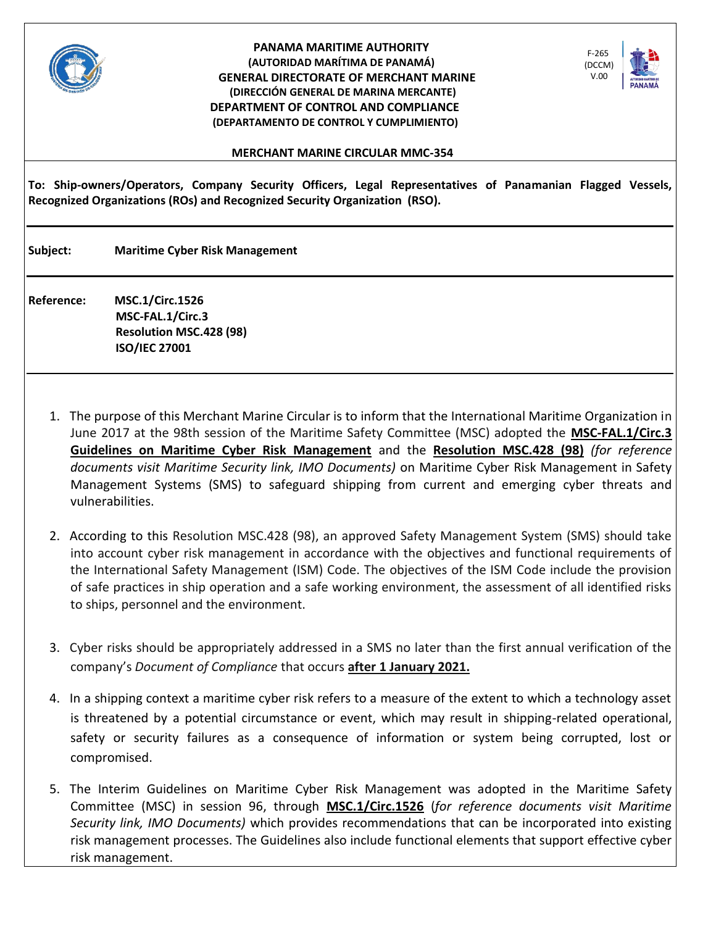

## **PANAMA MARITIME AUTHORITY (AUTORIDAD MARÍTIMA DE PANAMÁ) GENERAL DIRECTORATE OF MERCHANT MARINE (DIRECCIÓN GENERAL DE MARINA MERCANTE) DEPARTMENT OF CONTROL AND COMPLIANCE (DEPARTAMENTO DE CONTROL Y CUMPLIMIENTO)**



## **MERCHANT MARINE CIRCULAR MMC-354**

**To: Ship-owners/Operators, Company Security Officers, Legal Representatives of Panamanian Flagged Vessels, Recognized Organizations (ROs) and Recognized Security Organization (RSO).**

**Subject: Maritime Cyber Risk Management**

**Reference: MSC.1/Circ.1526 MSC-FAL.1/Circ.3 Resolution MSC.428 (98) ISO/IEC 27001**

- 1. The purpose of this Merchant Marine Circular is to inform that the International Maritime Organization in June 2017 at the 98th session of the Maritime Safety Committee (MSC) adopted the **[MSC-FAL.1/Circ.3](file:///C:/Users/yageiris.meneses/AppData/Local/Microsoft/Windows/Temporary%20Internet%20Files/yageiris.meneses/AppData/Local/Microsoft/Windows/Temporary%20Internet%20Files/Content.Outlook/3LV3V1PB/MSC-FAL.1-Circ.3.pdf) [Guidelines on Maritime Cyber Risk Management](file:///C:/Users/yageiris.meneses/AppData/Local/Microsoft/Windows/Temporary%20Internet%20Files/yageiris.meneses/AppData/Local/Microsoft/Windows/Temporary%20Internet%20Files/Content.Outlook/3LV3V1PB/OCIMF-The-Guidelines-on-Cyber-Security-Onboard-Ships.pdf)** and the **[Resolution MSC.428 \(98\)](file:///C:/Users/yageiris.meneses/AppData/Local/Microsoft/Windows/Temporary%20Internet%20Files/yageiris.meneses/AppData/Local/Microsoft/Windows/Temporary%20Internet%20Files/Content.Outlook/3LV3V1PB/MSC.428%20(98).pdf)** *(for reference documents visit Maritime Security link, IMO Documents)* on Maritime Cyber Risk Management in Safety Management Systems (SMS) to safeguard shipping from current and emerging cyber threats and vulnerabilities.
- 2. According to this Resolution MSC.428 (98), an approved Safety Management System (SMS) should take into account cyber risk management in accordance with the objectives and functional requirements of the International Safety Management (ISM) Code. The objectives of the ISM Code include the provision of safe practices in ship operation and a safe working environment, the assessment of all identified risks to ships, personnel and the environment.
- 3. Cyber risks should be appropriately addressed in a SMS no later than the first annual verification of the company's *Document of Compliance* that occurs **after 1 January 2021.**
- 4. In a shipping context a maritime cyber risk refers to a measure of the extent to which a technology asset is threatened by a potential circumstance or event, which may result in shipping-related operational, safety or security failures as a consequence of information or system being corrupted, lost or compromised.
- 5. The Interim Guidelines on Maritime Cyber Risk Management was adopted in the Maritime Safety Committee (MSC) in session 96, through **[MSC.1/Circ.1526](file:///C:/Users/yageiris.meneses/AppData/Local/Microsoft/Windows/Temporary%20Internet%20Files/yageiris.meneses/AppData/Local/Microsoft/Windows/Temporary%20Internet%20Files/Content.Outlook/3LV3V1PB/MSC-1-Circ-1526.pdf)** (*for reference documents visit Maritime Security link, IMO Documents)* which provides recommendations that can be incorporated into existing risk management processes. The Guidelines also include functional elements that support effective cyber risk management.